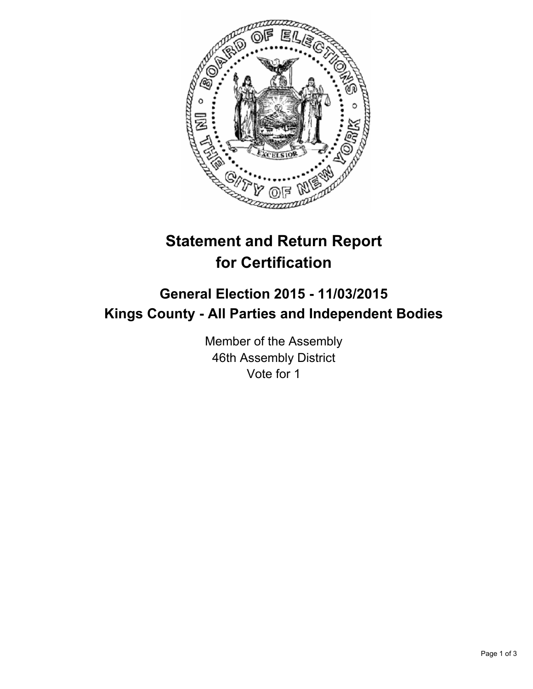

## **Statement and Return Report for Certification**

## **General Election 2015 - 11/03/2015 Kings County - All Parties and Independent Bodies**

Member of the Assembly 46th Assembly District Vote for 1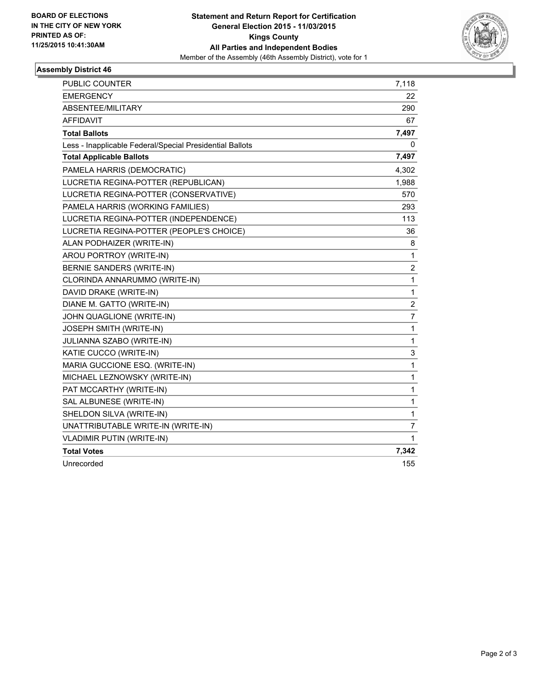

## **Assembly District 46**

| <b>PUBLIC COUNTER</b>                                    | 7,118                   |
|----------------------------------------------------------|-------------------------|
| <b>EMERGENCY</b>                                         | 22                      |
| ABSENTEE/MILITARY                                        | 290                     |
| <b>AFFIDAVIT</b>                                         | 67                      |
| <b>Total Ballots</b>                                     | 7,497                   |
| Less - Inapplicable Federal/Special Presidential Ballots | 0                       |
| <b>Total Applicable Ballots</b>                          | 7,497                   |
| PAMELA HARRIS (DEMOCRATIC)                               | 4,302                   |
| LUCRETIA REGINA-POTTER (REPUBLICAN)                      | 1,988                   |
| LUCRETIA REGINA-POTTER (CONSERVATIVE)                    | 570                     |
| PAMELA HARRIS (WORKING FAMILIES)                         | 293                     |
| LUCRETIA REGINA-POTTER (INDEPENDENCE)                    | 113                     |
| LUCRETIA REGINA-POTTER (PEOPLE'S CHOICE)                 | 36                      |
| ALAN PODHAIZER (WRITE-IN)                                | 8                       |
| AROU PORTROY (WRITE-IN)                                  | 1                       |
| BERNIE SANDERS (WRITE-IN)                                | $\overline{\mathbf{c}}$ |
| CLORINDA ANNARUMMO (WRITE-IN)                            | 1                       |
| DAVID DRAKE (WRITE-IN)                                   | $\mathbf{1}$            |
| DIANE M. GATTO (WRITE-IN)                                | 2                       |
| JOHN QUAGLIONE (WRITE-IN)                                | 7                       |
| <b>JOSEPH SMITH (WRITE-IN)</b>                           | 1                       |
| <b>JULIANNA SZABO (WRITE-IN)</b>                         | 1                       |
| KATIE CUCCO (WRITE-IN)                                   | 3                       |
| MARIA GUCCIONE ESQ. (WRITE-IN)                           | $\mathbf{1}$            |
| MICHAEL LEZNOWSKY (WRITE-IN)                             | 1                       |
| PAT MCCARTHY (WRITE-IN)                                  | 1                       |
| SAL ALBUNESE (WRITE-IN)                                  | $\mathbf{1}$            |
| SHELDON SILVA (WRITE-IN)                                 | 1                       |
| UNATTRIBUTABLE WRITE-IN (WRITE-IN)                       | 7                       |
| <b>VLADIMIR PUTIN (WRITE-IN)</b>                         | 1                       |
| <b>Total Votes</b>                                       | 7,342                   |
| Unrecorded                                               | 155                     |